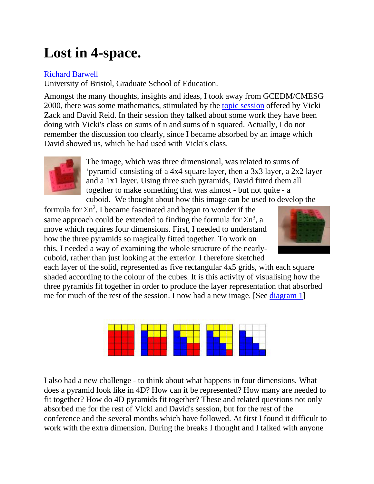## **Lost in 4-space.**

## [Richard Barwell](mailto:Richard.Barwell@bristol.ac.uk)

University of Bristol, Graduate School of Education.

Amongst the many thoughts, insights and ideas, I took away from GCEDM/CMESG 2000, there was some mathematics, stimulated by the [topic session](https://connect.sfu.ca/service/home/%7E/VZTG.html) offered by Vicki Zack and David Reid. In their session they talked about some work they have been doing with Vicki's class on sums of n and sums of n squared. Actually, I do not remember the discussion too clearly, since I became absorbed by an image which David showed us, which he had used with Vicki's class.



The image, which was three dimensional, was related to sums of 'pyramid' consisting of a 4x4 square layer, then a 3x3 layer, a 2x2 layer and a 1x1 layer. Using three such pyramids, David fitted them all together to make something that was almost - but not quite - a cuboid. We thought about how this image can be used to develop the

formula for  $\sum n^2$ . I became fascinated and began to wonder if the same approach could be extended to finding the formula for  $\sum n^3$ , a move which requires four dimensions. First, I needed to understand how the three pyramids so magically fitted together. To work on this, I needed a way of examining the whole structure of the nearlycuboid, rather than just looking at the exterior. I therefore sketched



each layer of the solid, represented as five rectangular 4x5 grids, with each square shaded according to the colour of the cubes. It is this activity of visualising how the three pyramids fit together in order to produce the layer representation that absorbed me for much of the rest of the session. I now had a new image. [See [diagram 1\]](https://connect.sfu.ca/service/home/%7E/RB-Dia1.html%23Diagram1)



I also had a new challenge - to think about what happens in four dimensions. What does a pyramid look like in 4D? How can it be represented? How many are needed to fit together? How do 4D pyramids fit together? These and related questions not only absorbed me for the rest of Vicki and David's session, but for the rest of the conference and the several months which have followed. At first I found it difficult to work with the extra dimension. During the breaks I thought and I talked with anyone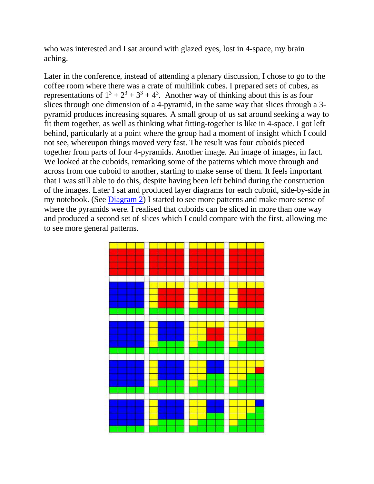who was interested and I sat around with glazed eyes, lost in 4-space, my brain aching.

Later in the conference, instead of attending a plenary discussion, I chose to go to the coffee room where there was a crate of multilink cubes. I prepared sets of cubes, as representations of  $1^3 + 2^3 + 3^3 + 4^3$ . Another way of thinking about this is as four slices through one dimension of a 4-pyramid, in the same way that slices through a 3 pyramid produces increasing squares. A small group of us sat around seeking a way to fit them together, as well as thinking what fitting-together is like in 4-space. I got left behind, particularly at a point where the group had a moment of insight which I could not see, whereupon things moved very fast. The result was four cuboids pieced together from parts of four 4-pyramids. Another image. An image of images, in fact. We looked at the cuboids, remarking some of the patterns which move through and across from one cuboid to another, starting to make sense of them. It feels important that I was still able to do this, despite having been left behind during the construction of the images. Later I sat and produced layer diagrams for each cuboid, side-by-side in my notebook. (See [Diagram 2\)](https://connect.sfu.ca/service/home/%7E/RB-Dia1.html%23Diagram2) I started to see more patterns and make more sense of where the pyramids were. I realised that cuboids can be sliced in more than one way and produced a second set of slices which I could compare with the first, allowing me to see more general patterns.